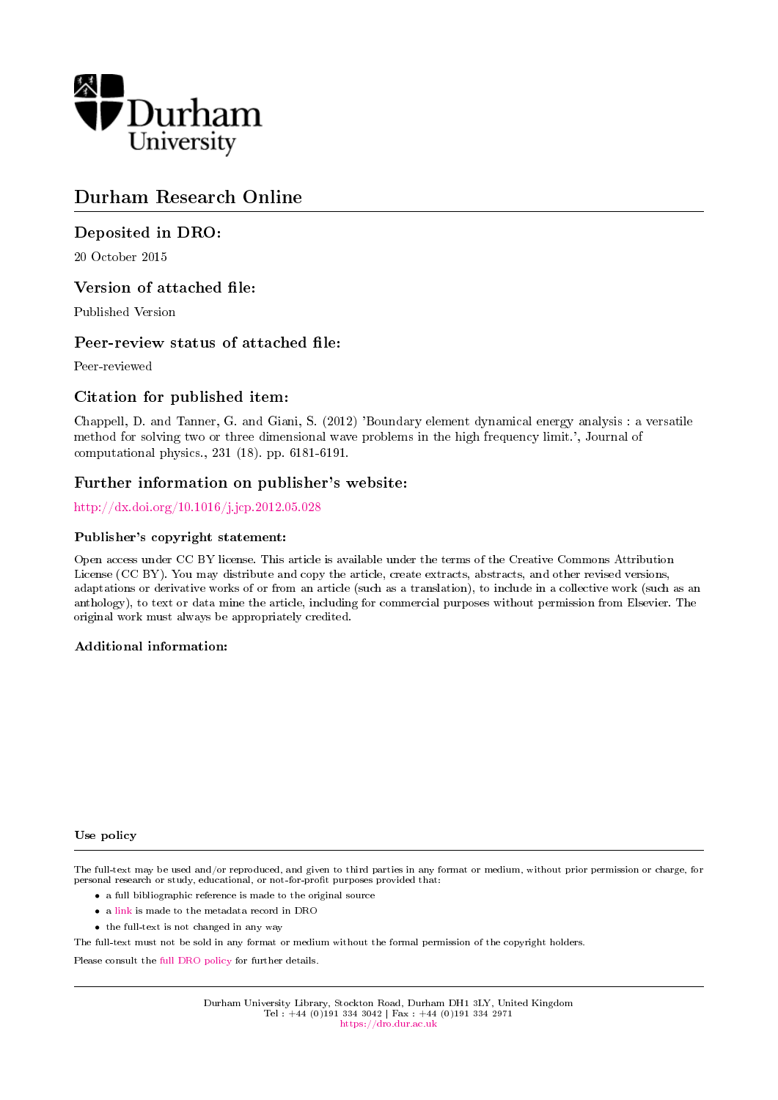

# Durham Research Online

# Deposited in DRO:

20 October 2015

# Version of attached file:

Published Version

# Peer-review status of attached file:

Peer-reviewed

# Citation for published item:

Chappell, D. and Tanner, G. and Giani, S. (2012) 'Boundary element dynamical energy analysis : a versatile method for solving two or three dimensional wave problems in the high frequency limit.', Journal of computational physics., 231 (18). pp. 6181-6191.

# Further information on publisher's website:

<http://dx.doi.org/10.1016/j.jcp.2012.05.028>

# Publisher's copyright statement:

Open access under CC BY license. This article is available under the terms of the Creative Commons Attribution License (CC BY). You may distribute and copy the article, create extracts, abstracts, and other revised versions, adaptations or derivative works of or from an article (such as a translation), to include in a collective work (such as an anthology), to text or data mine the article, including for commercial purposes without permission from Elsevier. The original work must always be appropriately credited.

# Additional information:

## Use policy

The full-text may be used and/or reproduced, and given to third parties in any format or medium, without prior permission or charge, for personal research or study, educational, or not-for-profit purposes provided that:

- a full bibliographic reference is made to the original source
- a [link](http://dro.dur.ac.uk/16622/) is made to the metadata record in DRO
- the full-text is not changed in any way

The full-text must not be sold in any format or medium without the formal permission of the copyright holders.

Please consult the [full DRO policy](https://dro.dur.ac.uk/policies/usepolicy.pdf) for further details.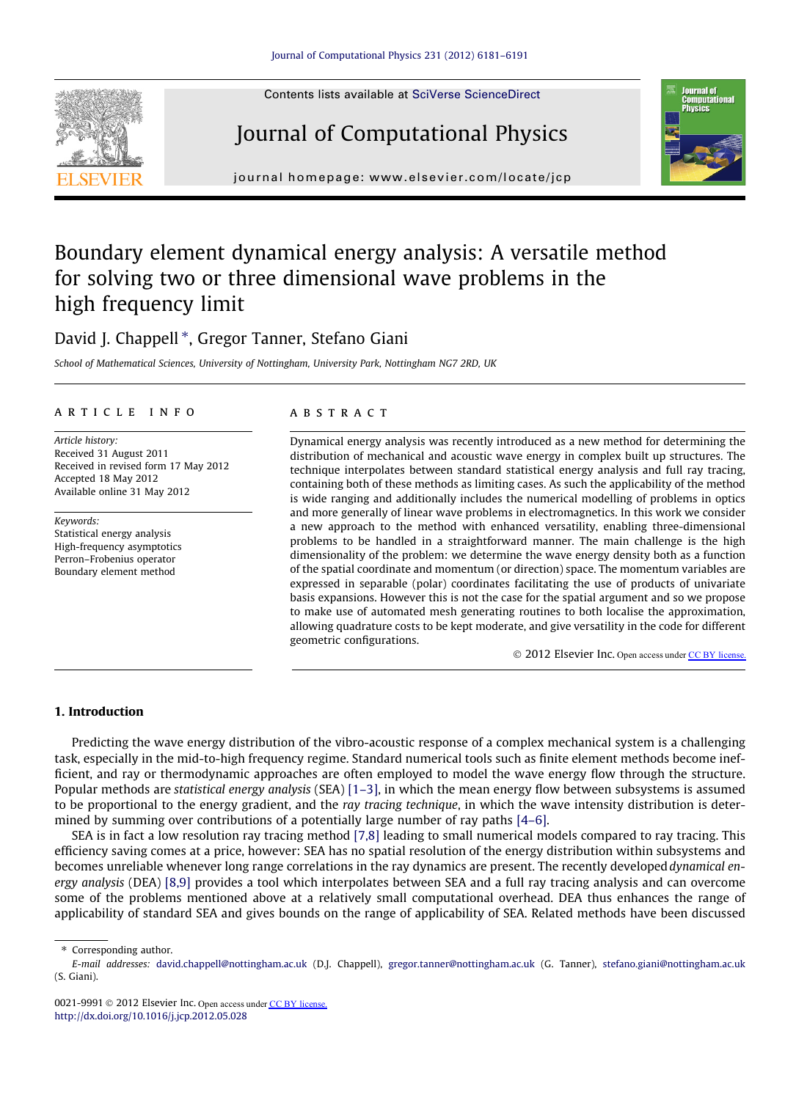Contents lists available at [SciVerse ScienceDirect](http://www.sciencedirect.com/science/journal/00219991)

# Journal of Computational Physics



journal homepage: [www.elsevier.com/locate/jcp](http://www.elsevier.com/locate/jcp)

# Boundary element dynamical energy analysis: A versatile method for solving two or three dimensional wave problems in the high frequency limit

# David J. Chappell \*, Gregor Tanner, Stefano Giani

School of Mathematical Sciences, University of Nottingham, University Park, Nottingham NG7 2RD, UK

## article info

Article history: Received 31 August 2011 Received in revised form 17 May 2012 Accepted 18 May 2012 Available online 31 May 2012

Keywords: Statistical energy analysis High-frequency asymptotics Perron–Frobenius operator Boundary element method

## **ABSTRACT**

Dynamical energy analysis was recently introduced as a new method for determining the distribution of mechanical and acoustic wave energy in complex built up structures. The technique interpolates between standard statistical energy analysis and full ray tracing, containing both of these methods as limiting cases. As such the applicability of the method is wide ranging and additionally includes the numerical modelling of problems in optics and more generally of linear wave problems in electromagnetics. In this work we consider a new approach to the method with enhanced versatility, enabling three-dimensional problems to be handled in a straightforward manner. The main challenge is the high dimensionality of the problem: we determine the wave energy density both as a function of the spatial coordinate and momentum (or direction) space. The momentum variables are expressed in separable (polar) coordinates facilitating the use of products of univariate basis expansions. However this is not the case for the spatial argument and so we propose to make use of automated mesh generating routines to both localise the approximation, allowing quadrature costs to be kept moderate, and give versatility in the code for different geometric configurations.

 $\odot$  2012 Elsevier Inc. Open access under [CC BY license.](http://creativecommons.org/licenses/by/3.0/)

## 1. Introduction

Predicting the wave energy distribution of the vibro-acoustic response of a complex mechanical system is a challenging task, especially in the mid-to-high frequency regime. Standard numerical tools such as finite element methods become inefficient, and ray or thermodynamic approaches are often employed to model the wave energy flow through the structure. Popular methods are statistical energy analysis (SEA) [\[1–3\]](#page-11-0), in which the mean energy flow between subsystems is assumed to be proportional to the energy gradient, and the ray tracing technique, in which the wave intensity distribution is determined by summing over contributions of a potentially large number of ray paths [\[4–6\].](#page-11-0)

SEA is in fact a low resolution ray tracing method [\[7,8\]](#page-11-0) leading to small numerical models compared to ray tracing. This efficiency saving comes at a price, however: SEA has no spatial resolution of the energy distribution within subsystems and becomes unreliable whenever long range correlations in the ray dynamics are present. The recently developed dynamical energy analysis (DEA) [\[8,9\]](#page-11-0) provides a tool which interpolates between SEA and a full ray tracing analysis and can overcome some of the problems mentioned above at a relatively small computational overhead. DEA thus enhances the range of applicability of standard SEA and gives bounds on the range of applicability of SEA. Related methods have been discussed

<sup>⇑</sup> Corresponding author.

E-mail addresses: [david.chappell@nottingham.ac.uk](mailto:david.chappell@nottingham.ac.uk) (D.J. Chappell), [gregor.tanner@nottingham.ac.uk](mailto:gregor.tanner@nottingham.ac.uk) (G. Tanner), [stefano.giani@nottingham.ac.uk](mailto:stefano.giani@nottingham.ac.uk) (S. Giani).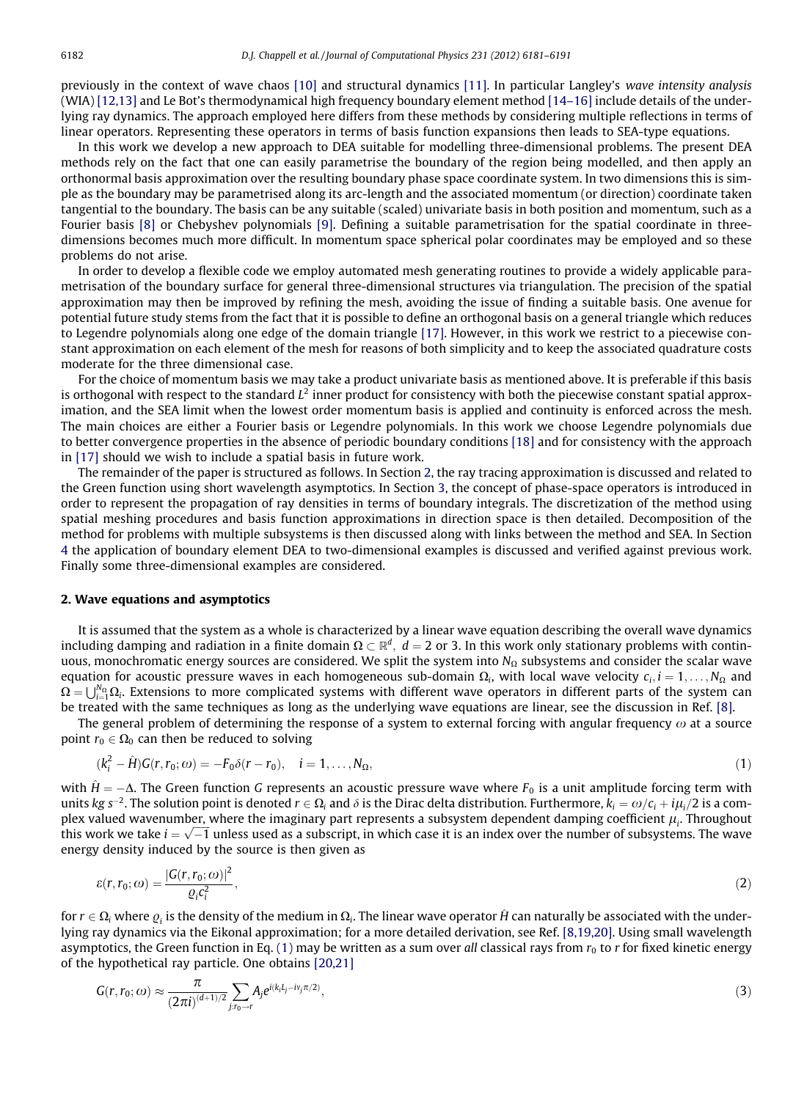<span id="page-2-0"></span>previously in the context of wave chaos [\[10\]](#page-11-0) and structural dynamics [\[11\].](#page-11-0) In particular Langley's wave intensity analysis  $(WIA)$  [\[12,13\]](#page-11-0) and Le Bot's thermodynamical high frequency boundary element method [\[14–16\]](#page-11-0) include details of the underlying ray dynamics. The approach employed here differs from these methods by considering multiple reflections in terms of linear operators. Representing these operators in terms of basis function expansions then leads to SEA-type equations.

In this work we develop a new approach to DEA suitable for modelling three-dimensional problems. The present DEA methods rely on the fact that one can easily parametrise the boundary of the region being modelled, and then apply an orthonormal basis approximation over the resulting boundary phase space coordinate system. In two dimensions this is simple as the boundary may be parametrised along its arc-length and the associated momentum (or direction) coordinate taken tangential to the boundary. The basis can be any suitable (scaled) univariate basis in both position and momentum, such as a Fourier basis [\[8\]](#page-11-0) or Chebyshev polynomials [\[9\].](#page-11-0) Defining a suitable parametrisation for the spatial coordinate in threedimensions becomes much more difficult. In momentum space spherical polar coordinates may be employed and so these problems do not arise.

In order to develop a flexible code we employ automated mesh generating routines to provide a widely applicable parametrisation of the boundary surface for general three-dimensional structures via triangulation. The precision of the spatial approximation may then be improved by refining the mesh, avoiding the issue of finding a suitable basis. One avenue for potential future study stems from the fact that it is possible to define an orthogonal basis on a general triangle which reduces to Legendre polynomials along one edge of the domain triangle [\[17\].](#page-11-0) However, in this work we restrict to a piecewise constant approximation on each element of the mesh for reasons of both simplicity and to keep the associated quadrature costs moderate for the three dimensional case.

For the choice of momentum basis we may take a product univariate basis as mentioned above. It is preferable if this basis is orthogonal with respect to the standard  $L^2$  inner product for consistency with both the piecewise constant spatial approximation, and the SEA limit when the lowest order momentum basis is applied and continuity is enforced across the mesh. The main choices are either a Fourier basis or Legendre polynomials. In this work we choose Legendre polynomials due to better convergence properties in the absence of periodic boundary conditions [\[18\]](#page-11-0) and for consistency with the approach in [\[17\]](#page-11-0) should we wish to include a spatial basis in future work.

The remainder of the paper is structured as follows. In Section 2, the ray tracing approximation is discussed and related to the Green function using short wavelength asymptotics. In Section 3, the concept of phase-space operators is introduced in order to represent the propagation of ray densities in terms of boundary integrals. The discretization of the method using spatial meshing procedures and basis function approximations in direction space is then detailed. Decomposition of the method for problems with multiple subsystems is then discussed along with links between the method and SEA. In Section 4 the application of boundary element DEA to two-dimensional examples is discussed and verified against previous work. Finally some three-dimensional examples are considered.

## 2. Wave equations and asymptotics

It is assumed that the system as a whole is characterized by a linear wave equation describing the overall wave dynamics including damping and radiation in a finite domain  $\Omega\subset\mathbb R^d,\;d=2$  or 3. In this work only stationary problems with continuous, monochromatic energy sources are considered. We split the system into  $N_\Omega$  subsystems and consider the scalar wave equation for acoustic pressure waves in each homogeneous sub-domain  $\Omega_i$ , with local wave velocity  $c_i$ ,  $i = 1, \ldots, N_{\Omega}$  and  $\Omega = \bigcup_{i=1}^{N_{\Omega}} \Omega_i$ . Extensions to more complicated systems with different wave operators in different parts of the system can be treated with the same techniques as long as the underlying wave equations are linear, see the discussion in Ref. [\[8\]](#page-11-0).

The general problem of determining the response of a system to external forcing with angular frequency  $\omega$  at a source point  $r_0 \in \Omega_0$  can then be reduced to solving

$$
(k_i^2 - \hat{H})G(r, r_0; \omega) = -F_0 \delta(r - r_0), \quad i = 1, ..., N_{\Omega},
$$
\n(1)

with  $\hat{H} = -\Delta$ . The Green function G represents an acoustic pressure wave where  $F_0$  is a unit amplitude forcing term with units kg s<sup>-2</sup>. The solution point is denoted  $r\in\Omega_i$  and  $\delta$  is the Dirac delta distribution. Furthermore,  $k_i=\omega/c_i+i\mu_i/2$  is a complex valued wavenumber, where the imaginary part represents a subsystem dependent damping coefficient  $\mu_i$ . Throughout  $p$ iex valued wavenumber, where the magniary part represents a subsystem dependent damping coefficient  $\mu_i$ . Imoughout this work we take  $i=\sqrt{-1}$  unless used as a subscript, in which case it is an index over the number o energy density induced by the source is then given as

$$
\varepsilon(r,r_0;\omega) = \frac{|G(r,r_0;\omega)|^2}{\varrho_i c_i^2},\tag{2}
$$

for  $r \in \Omega_i$  where  $\varrho_i$  is the density of the medium in  $\Omega_i$ . The linear wave operator  $\hat{H}$  can naturally be associated with the underlying ray dynamics via the Eikonal approximation; for a more detailed derivation, see Ref. [\[8,19,20\]](#page-11-0). Using small wavelength asymptotics, the Green function in Eq. (1) may be written as a sum over all classical rays from  $r_0$  to r for fixed kinetic energy of the hypothetical ray particle. One obtains [\[20,21\]](#page-11-0)

$$
G(r, r_0; \omega) \approx \frac{\pi}{(2\pi i)^{(d+1)/2}} \sum_{j:r_0 \to r} A_j e^{i(k_i L_j - i\nu_j \pi/2)},
$$
\n(3)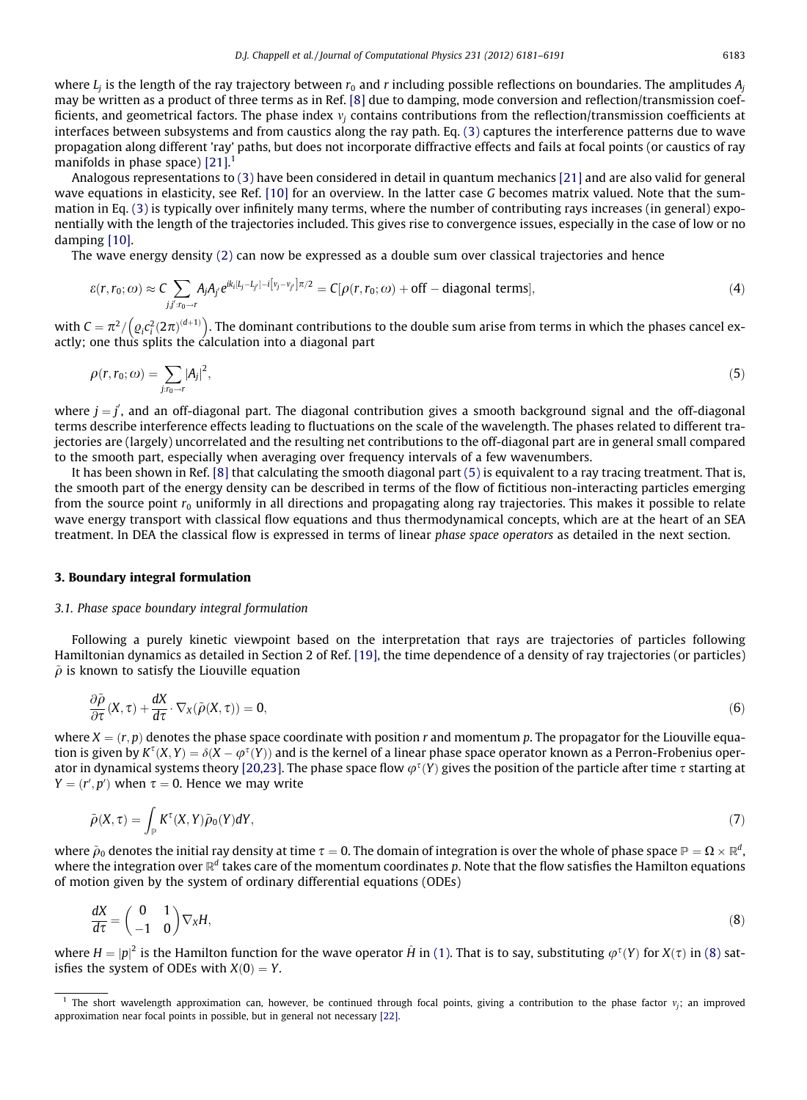<span id="page-3-0"></span>where  $L_i$  is the length of the ray trajectory between  $r_0$  and r including possible reflections on boundaries. The amplitudes  $A_i$ may be written as a product of three terms as in Ref. [\[8\]](#page-11-0) due to damping, mode conversion and reflection/transmission coefficients, and geometrical factors. The phase index  $v_i$  contains contributions from the reflection/transmission coefficients at interfaces between subsystems and from caustics along the ray path. Eq. [\(3\)](#page-2-0) captures the interference patterns due to wave propagation along different 'ray' paths, but does not incorporate diffractive effects and fails at focal points (or caustics of ray manifolds in phase space) [\[21\].](#page-11-0) 1

Analogous representations to [\(3\)](#page-2-0) have been considered in detail in quantum mechanics [\[21\]](#page-11-0) and are also valid for general wave equations in elasticity, see Ref. [\[10\]](#page-11-0) for an overview. In the latter case G becomes matrix valued. Note that the summation in Eq. [\(3\)](#page-2-0) is typically over infinitely many terms, where the number of contributing rays increases (in general) exponentially with the length of the trajectories included. This gives rise to convergence issues, especially in the case of low or no damping [\[10\]](#page-11-0).

The wave energy density [\(2\)](#page-2-0) can now be expressed as a double sum over classical trajectories and hence

$$
\varepsilon(r,r_0;\omega) \approx C \sum_{j,j',r_0 \to r} A_j A_{j'} e^{ik_i [L_j - L_{j'}] - i[v_j - v_{j'}] \pi/2} = C[\rho(r,r_0;\omega) + \text{off}-\text{diagonal terms}],
$$
\n(4)

with  $\mathcal{C}=\pi^2/\bigl(\varrho_\text{i} c_\text{i}^2 (2\pi)^{(d+1)}\bigr).$  The dominant contributions to the double sum arise from terms in which the phases cancel exactly; one thus splits the calculation into a diagonal part

$$
\rho(r,r_0;\omega) = \sum_{j:r_0 \to r} |A_j|^2,\tag{5}
$$

where  $j = j'$ , and an off-diagonal part. The diagonal contribution gives a smooth background signal and the off-diagonal terms describe interference effects leading to fluctuations on the scale of the wavelength. The phases related to different trajectories are (largely) uncorrelated and the resulting net contributions to the off-diagonal part are in general small compared to the smooth part, especially when averaging over frequency intervals of a few wavenumbers.

It has been shown in Ref. [\[8\]](#page-11-0) that calculating the smooth diagonal part (5) is equivalent to a ray tracing treatment. That is, the smooth part of the energy density can be described in terms of the flow of fictitious non-interacting particles emerging from the source point  $r_0$  uniformly in all directions and propagating along ray trajectories. This makes it possible to relate wave energy transport with classical flow equations and thus thermodynamical concepts, which are at the heart of an SEA treatment. In DEA the classical flow is expressed in terms of linear phase space operators as detailed in the next section.

### 3. Boundary integral formulation

#### 3.1. Phase space boundary integral formulation

Following a purely kinetic viewpoint based on the interpretation that rays are trajectories of particles following Hamiltonian dynamics as detailed in Section 2 of Ref. [\[19\],](#page-11-0) the time dependence of a density of ray trajectories (or particles)  $\tilde{\rho}$  is known to satisfy the Liouville equation

$$
\frac{\partial \tilde{\rho}}{\partial \tau}(X,\tau) + \frac{dX}{d\tau} \cdot \nabla_X(\tilde{\rho}(X,\tau)) = 0, \tag{6}
$$

where  $X = (r, p)$  denotes the phase space coordinate with position r and momentum p. The propagator for the Liouville equation is given by  $K^{\tau}(X,Y)=\delta(X-\varphi^{\tau}(Y))$  and is the kernel of a linear phase space operator known as a Perron-Frobenius oper-ator in dynamical systems theory [\[20,23\]](#page-11-0). The phase space flow  $\varphi^{\tau}(Y)$  gives the position of the particle after time  $\tau$  starting at  $Y = (r', p')$  when  $\tau = 0$ . Hence we may write

$$
\tilde{\rho}(X,\tau) = \int_{\mathbb{P}} K^{\tau}(X,Y)\tilde{\rho}_0(Y)dY,\tag{7}
$$

where  $\tilde\rho_0$  denotes the initial ray density at time  $\tau=0.$  The domain of integration is over the whole of phase space  $\mathbb P=\Omega\times\mathbb R^d,$ where the integration over  $\mathbb{R}^d$  takes care of the momentum coordinates p. Note that the flow satisfies the Hamilton equations of motion given by the system of ordinary differential equations (ODEs)

$$
\frac{dX}{d\tau} = \begin{pmatrix} 0 & 1 \\ -1 & 0 \end{pmatrix} \nabla_X H,\tag{8}
$$

where  $H = |p|^2$  is the Hamilton function for the wave operator  $\hat H$  in [\(1\).](#page-2-0) That is to say, substituting  $\varphi^\tau(Y)$  for  $X(\tau)$  in (8) satisfies the system of ODEs with  $X(0) = Y$ .

<sup>&</sup>lt;sup>1</sup> The short wavelength approximation can, however, be continued through focal points, giving a contribution to the phase factor  $v_j$ ; an improved approximation near focal points in possible, but in general not necessary [\[22\].](#page-11-0)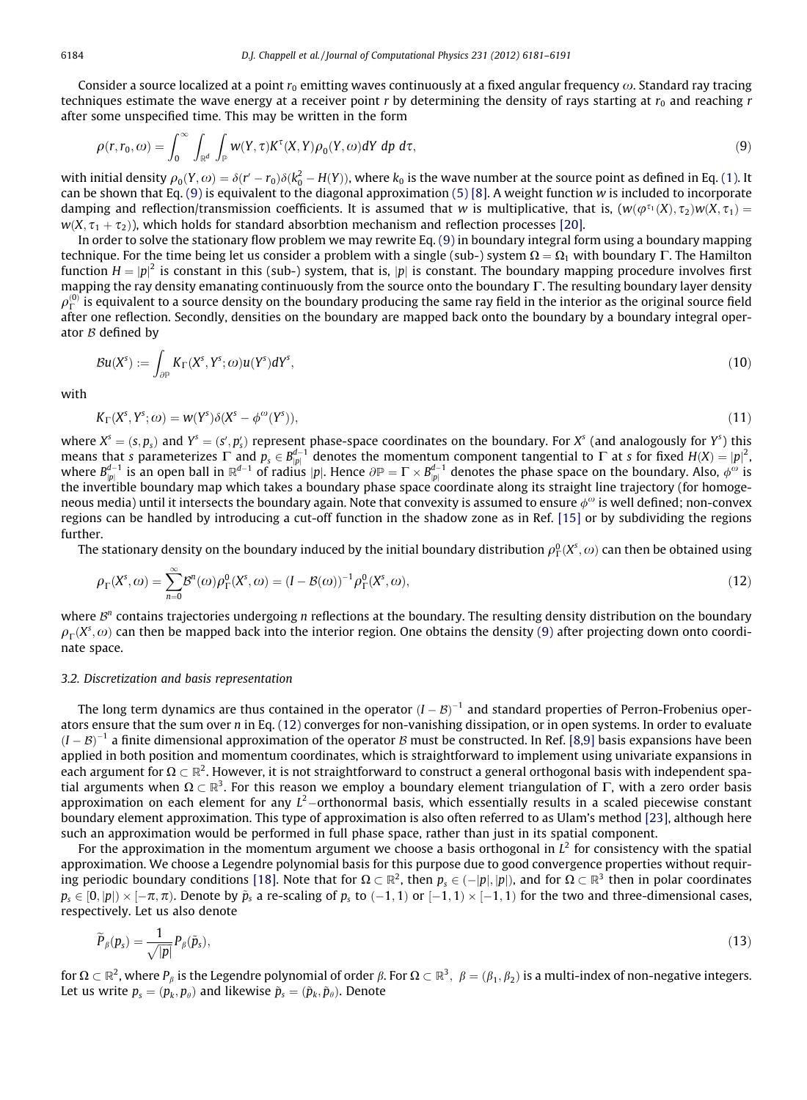<span id="page-4-0"></span>Consider a source localized at a point  $r_0$  emitting waves continuously at a fixed angular frequency  $\omega$ . Standard ray tracing techniques estimate the wave energy at a receiver point r by determining the density of rays starting at  $r_0$  and reaching r after some unspecified time. This may be written in the form

$$
\rho(r,r_0,\omega)=\int_0^\infty\int_{\mathbb{R}^d}\int_{\mathbb{P}}w(Y,\tau)K^{\tau}(X,Y)\rho_0(Y,\omega)dY\;d\mathfrak{p}\;d\tau,\tag{9}
$$

with initial density  $\rho_0(Y,\omega)=\delta(r'-r_0)\delta(k_0^2-H(Y))$ , where  $k_0$  is the wave number at the source point as defined in Eq. [\(1\).](#page-2-0) It can be shown that Eq. (9) is equivalent to the diagonal approximation  $(5)$  [\[8\].](#page-11-0) A weight function w is included to incorporate damping and reflection/transmission coefficients. It is assumed that w is multiplicative, that is,  $(w(\varphi^{\tau_1}(X), \tau_2)w(X, \tau_1))$  $w(X, \tau_1 + \tau_2)$ ), which holds for standard absorbtion mechanism and reflection processes [\[20\]](#page-11-0).

In order to solve the stationary flow problem we may rewrite Eq. (9) in boundary integral form using a boundary mapping technique. For the time being let us consider a problem with a single (sub-) system  $\Omega = \Omega_1$  with boundary  $\Gamma$ . The Hamilton function  $H = |p|^2$  is constant in this (sub-) system, that is,  $|p|$  is constant. The boundary mapping procedure involves first mapping the ray density emanating continuously from the source onto the boundary  $\Gamma$ . The resulting boundary layer density  $\rho_\Gamma^{(0)}$  is equivalent to a source density on the boundary producing the same ray field in the interior as the original source field after one reflection. Secondly, densities on the boundary are mapped back onto the boundary by a boundary integral operator  $B$  defined by

$$
\mathcal{B}u(X^s) := \int_{\partial \mathbb{P}} K_{\Gamma}(X^s, Y^s; \omega)u(Y^s)dY^s,
$$
\n(10)

with

$$
K_{\Gamma}(X^s, Y^s; \omega) = w(Y^s)\delta(X^s - \phi^{\omega}(Y^s)),
$$
\n(11)

where  $X^s = (s, p_s)$  and  $Y^s = (s', p_s')$  represent phase-space coordinates on the boundary. For  $X^s$  (and analogously for  $Y^s$ ) this means that s parameterizes  $\Gamma$  and  $p_s \in B^{d-1}_{|p|}$  denotes the momentum component tangential to  $\Gamma$  at s for fixed  $H(X)=|p|^2$ . where  $B^{d-1}_{|p|}$  is an open ball in  $\R^{d-1}$  of radius  $|p|$ . Hence  $\partial\mathbb{P}=\Gamma\times B^{d-1}_{|p|}$  denotes the phase space on the boundary. Also,  $\phi^\omega$  is the invertible boundary map which takes a boundary phase space coordinate along its straight line trajectory (for homogeneous media) until it intersects the boundary again. Note that convexity is assumed to ensure  $\phi^{\omega}$  is well defined; non-convex regions can be handled by introducing a cut-off function in the shadow zone as in Ref. [\[15\]](#page-11-0) or by subdividing the regions further.

The stationary density on the boundary induced by the initial boundary distribution  $\rho_\Gamma^0(X^s,\omega)$  can then be obtained using

$$
\rho_{\Gamma}(X^s,\omega) = \sum_{n=0}^{\infty} \mathcal{B}^n(\omega)\rho_{\Gamma}^0(X^s,\omega) = (I - \mathcal{B}(\omega))^{-1}\rho_{\Gamma}^0(X^s,\omega),\tag{12}
$$

where  $B<sup>n</sup>$  contains trajectories undergoing n reflections at the boundary. The resulting density distribution on the boundary  $\rho_\Gamma(X^s,\omega)$  can then be mapped back into the interior region. One obtains the density (9) after projecting down onto coordinate space.

#### 3.2. Discretization and basis representation

The long term dynamics are thus contained in the operator  $(I - B)^{-1}$  and standard properties of Perron-Frobenius operators ensure that the sum over n in Eq. (12) converges for non-vanishing dissipation, or in open systems. In order to evaluate  $(I - B)^{-1}$  a finite dimensional approximation of the operator B must be constructed. In Ref. [\[8,9\]](#page-11-0) basis expansions have been applied in both position and momentum coordinates, which is straightforward to implement using univariate expansions in each argument for  $\Omega\subset\mathbb{R}^2.$  However, it is not straightforward to construct a general orthogonal basis with independent spatial arguments when  $\Omega\subset\mathbb{R}^3.$  For this reason we employ a boundary element triangulation of  $\Gamma,$  with a zero order basis approximation on each element for any  $L^2$ –orthonormal basis, which essentially results in a scaled piecewise constant boundary element approximation. This type of approximation is also often referred to as Ulam's method [\[23\],](#page-11-0) although here such an approximation would be performed in full phase space, rather than just in its spatial component.

For the approximation in the momentum argument we choose a basis orthogonal in  $L^2$  for consistency with the spatial approximation. We choose a Legendre polynomial basis for this purpose due to good convergence properties without requir-ing periodic boundary conditions [\[18\]](#page-11-0). Note that for  $\Omega\subset\mathbb{R}^2$ , then  $p_s\in(-|p|,|p|)$ , and for  $\Omega\subset\mathbb{R}^3$  then in polar coordinates  $p_s \in [0, |p|) \times [-\pi, \pi)$ . Denote by  $\tilde{p}_s$  a re-scaling of  $p_s$  to  $(-1, 1)$  or  $[-1, 1) \times [-1, 1)$  for the two and three-dimensional cases, respectively. Let us also denote

$$
\widetilde{P}_{\beta}(p_s) = \frac{1}{\sqrt{|p|}} P_{\beta}(\widetilde{p}_s),\tag{13}
$$

for  $\Omega\subset\mathbb R^2$ , where  $P_\beta$  is the Legendre polynomial of order  $\beta$ . For  $\Omega\subset\mathbb R^3,~\beta=(\beta_1,\beta_2)$  is a multi-index of non-negative integers. Let us write  $p_s = (p_k, p_\theta)$  and likewise  $\tilde{p}_s = (\tilde{p}_k, \tilde{p}_\theta)$ . Denote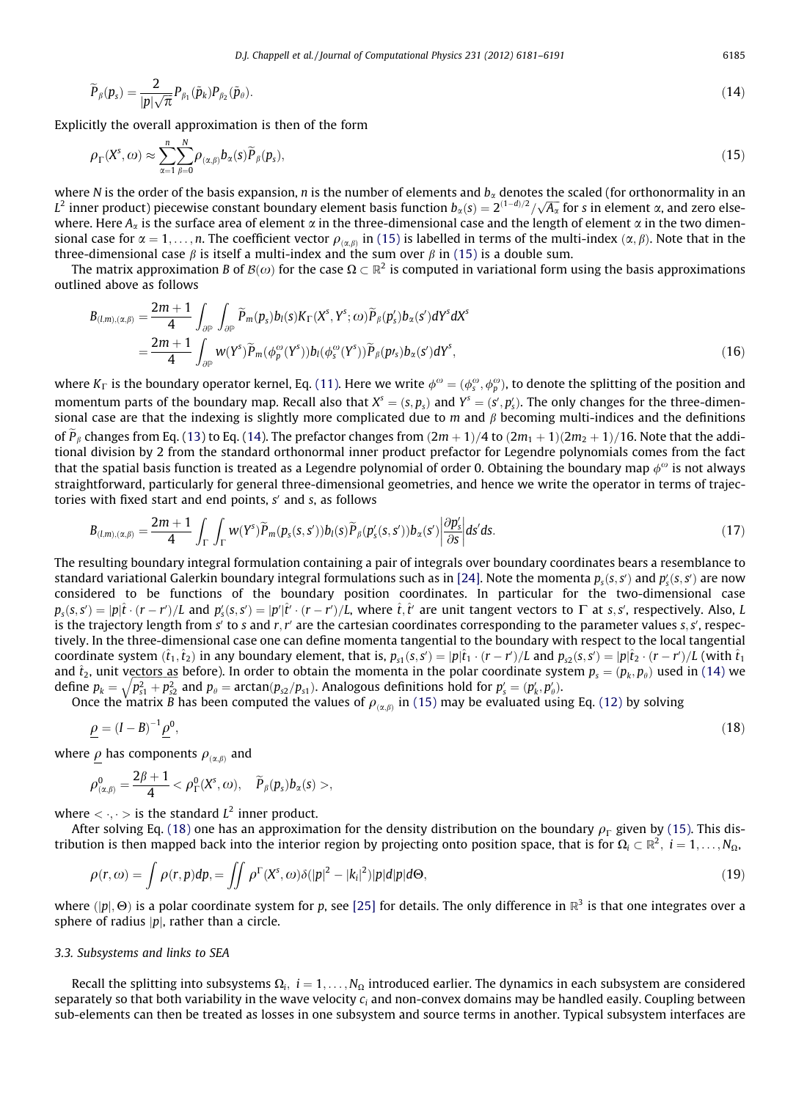<span id="page-5-0"></span>
$$
\widetilde{P}_{\beta}(p_{s}) = \frac{2}{|p|\sqrt{\pi}}P_{\beta_{1}}(\widetilde{p}_{k})P_{\beta_{2}}(\widetilde{p}_{\theta}).
$$
\n(14)

Explicitly the overall approximation is then of the form

$$
\rho_{\Gamma}(X^s,\omega) \approx \sum_{\alpha=1}^n \sum_{\beta=0}^N \rho_{(\alpha,\beta)} b_{\alpha}(s) \widetilde{P}_{\beta}(p_s),\tag{15}
$$

where N is the order of the basis expansion, n is the number of elements and  $b<sub>x</sub>$  denotes the scaled (for orthonormality in an Where N is the order of the basis expansion, *h* is the number of elements and  $b_{\alpha}$  denotes the search (for orthonormanty in an  $L^2$  inner product) piecewise constant boundary element basis function  $b_{\alpha}(s) = 2^{(1-d)/2}/$ where. Here  $A_x$  is the surface area of element  $\alpha$  in the three-dimensional case and the length of element  $\alpha$  in the two dimensional case for  $\alpha = 1, \ldots, n$ . The coefficient vector  $\rho_{(\alpha,\beta)}$  in (15) is labelled in terms of the multi-index  $(\alpha, \beta)$ . Note that in the three-dimensional case  $\beta$  is itself a multi-index and the sum over  $\beta$  in (15) is a double sum.

The matrix approximation B of  ${\cal B}(\omega)$  for the case  $\Omega\subset\mathbb R^2$  is computed in variational form using the basis approximations outlined above as follows

$$
B_{(l,m),( \alpha,\beta)} = \frac{2m+1}{4} \int_{\partial \mathbb{P}} \int_{\partial \mathbb{P}} \widetilde{P}_m(p_s) b_l(s) K_{\Gamma}(X^s, Y^s; \omega) \widetilde{P}_{\beta}(p'_s) b_{\alpha}(s') dY^s dX^s
$$
  
= 
$$
\frac{2m+1}{4} \int_{\partial \mathbb{P}} w(Y^s) \widetilde{P}_m(\phi_p^{\omega}(Y^s)) b_l(\phi_s^{\omega}(Y^s)) \widetilde{P}_{\beta}(p_s) b_{\alpha}(s') dY^s,
$$
 (16)

where  $K_\Gamma$  is the boundary operator kernel, Eq. [\(11\)](#page-4-0). Here we write  $\phi^\omega=(\phi_s^\omega,\phi_p^\omega)$ , to denote the splitting of the position and momentum parts of the boundary map. Recall also that  $X^s=(s,p_s)$  and  $Y^s=(s',p'_s)$ . The only changes for the three-dimensional case are that the indexing is slightly more complicated due to m and  $\beta$  becoming multi-indices and the definitions of  $\tilde{P}_\beta$  changes from Eq. [\(13\)](#page-4-0) to Eq. ([14](#page-4-0)). The prefactor changes from  $(2m + 1)/4$  to  $(2m_1 + 1)(2m_2 + 1)/16$ . Note that the additional division by 2 from the standard orthonormal inner product prefactor for Legendre polynomials comes from the fact that the spatial basis function is treated as a Legendre polynomial of order 0. Obtaining the boundary map  $\phi^{\omega}$  is not always straightforward, particularly for general three-dimensional geometries, and hence we write the operator in terms of trajectories with fixed start and end points,  $s'$  and s, as follows

$$
B_{(l,m),(\alpha,\beta)} = \frac{2m+1}{4} \int_{\Gamma} \int_{\Gamma} w(Y^s) \widetilde{P}_m(p_s(s,s')) b_l(s) \widetilde{P}_\beta(p_s'(s,s')) b_\alpha(s') \left| \frac{\partial p_s'}{\partial s} \right| ds' ds. \tag{17}
$$

The resulting boundary integral formulation containing a pair of integrals over boundary coordinates bears a resemblance to standard variational Galerkin boundary integral formulations such as in [\[24\].](#page-11-0) Note the momenta  $p_s(s,s')$  and  $p'_s(s,s')$  are now considered to be functions of the boundary position coordinates. In particular for the two-dimensional case  $p_s(s,s')=|p|\hat{t}\cdot(r-r')/L$  and  $p'_s(s,s')=|p'|\hat{t}'\cdot(r-r')/L$ , where  $\hat{t},\hat{t}'$  are unit tangent vectors to  $\Gamma$  at s, s', respectively. Also, L is the trajectory length from s' to s and r, r' are the cartesian coordinates corresponding to the parameter values s, s', respectively. In the three-dimensional case one can define momenta tangential to the boundary with respect to the local tangential coordinate system  $(\hat{t}_1, \hat{t}_2)$  in any boundary element, that is,  $p_{s1}(s,s') = |p| \hat{t}_1\cdot(r-r')/L$  and  $p_{s2}(s,s') = |p| \hat{t}_2\cdot(r-r')/L$  (with  $\hat{t}_1$ and  $\hat{t}_2$ , unit vectors as before). In order to obtain the momenta in the polar coordinate system  $p_s = (p_k, p_\theta)$  used in [\(14\)](#page-4-0) we define  $p_k=\sqrt{p_{s1}^2+p_{s2}^2}$  and  $p_\theta=\arctan(p_{s2}/p_{s1}).$  Analogous definitions hold for  $p_s'=(p_k',p_\theta').$ 

Once the matrix B has been computed the values of  $\rho_{\alpha,\beta}$  in (15) may be evaluated using Eq. [\(12\)](#page-4-0) by solving

$$
\underline{\rho} = (I - B)^{-1} \underline{\rho}^0,\tag{18}
$$

where  $\rho$  has components  $\rho_{(\alpha,\beta)}$  and

$$
\rho^0_{(\alpha,\beta)}=\frac{2\beta+1}{4}<\rho^0_\Gamma(X^s,\omega),\quad \widetilde{P}_\beta(p_s)b_\alpha(s)>,
$$

where  $\langle \cdot, \cdot \rangle$  is the standard  $L^2$  inner product.

After solving Eq. (18) one has an approximation for the density distribution on the boundary  $\rho_{\Gamma}$  given by (15). This distribution is then mapped back into the interior region by projecting onto position space, that is for  $\Omega_i\subset\mathbb R^2,\;i=1,\ldots,N_\Omega,$ 

$$
\rho(r,\omega) = \int \rho(r,p)dp, = \iint \rho^{\Gamma}(X^s,\omega)\delta(|p|^2 - |k_i|^2)|p|d|p|d\Theta,
$$
\n(19)

where ( $|p|$ ,  $\Theta$ ) is a polar coordinate system for p, see [\[25\]](#page-11-0) for details. The only difference in  $\mathbb{R}^3$  is that one integrates over a sphere of radius  $|p|$ , rather than a circle.

#### 3.3. Subsystems and links to SEA

Recall the splitting into subsystems  $\Omega_i$ ,  $i = 1, ..., N_\Omega$  introduced earlier. The dynamics in each subsystem are considered separately so that both variability in the wave velocity  $c_i$  and non-convex domains may be handled easily. Coupling between sub-elements can then be treated as losses in one subsystem and source terms in another. Typical subsystem interfaces are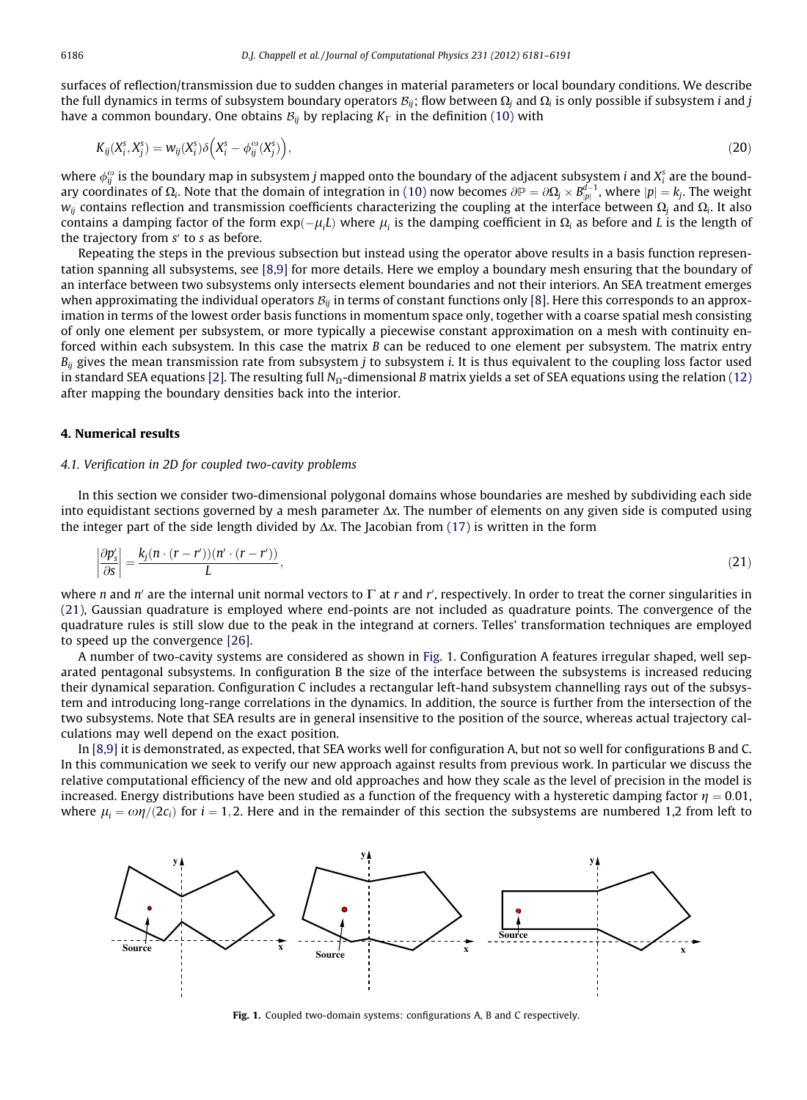<span id="page-6-0"></span>surfaces of reflection/transmission due to sudden changes in material parameters or local boundary conditions. We describe the full dynamics in terms of subsystem boundary operators  $B_{ii}$ ; flow between  $\Omega_i$  and  $\Omega_i$  is only possible if subsystem *i* and *j* have a common boundary. One obtains  $B_{ii}$  by replacing  $K_{\Gamma}$  in the definition [\(10\)](#page-4-0) with

$$
K_{ij}(X_i^s, X_j^s) = w_{ij}(X_i^s) \delta\left(X_i^s - \phi_{ij}^{\omega}(X_j^s)\right),\tag{20}
$$

where  $\phi_{ij}^\omega$  is the boundary map in subsystem j mapped onto the boundary of the adjacent subsystem i and  $X_i^s$  are the boundary coordinates of  $\Omega_i$ . Note that the domain of integration in [\(10\)](#page-4-0) now becomes  $\partial\mathbb{P}=\partial\Omega_j\times B^{d-1}_{|p|}$ , where  $|p|=k_j.$  The weight  $w_{ij}$  contains reflection and transmission coefficients characterizing the coupling at the interface between  $\Omega_i$  and  $\Omega_i$ . It also contains a damping factor of the form  $exp(-\mu_i L)$  where  $\mu_i$  is the damping coefficient in  $\Omega_i$  as before and L is the length of the trajectory from  $s'$  to  $s$  as before.

Repeating the steps in the previous subsection but instead using the operator above results in a basis function representation spanning all subsystems, see [\[8,9\]](#page-11-0) for more details. Here we employ a boundary mesh ensuring that the boundary of an interface between two subsystems only intersects element boundaries and not their interiors. An SEA treatment emerges when approximating the individual operators  $B_{ii}$  in terms of constant functions only [\[8\].](#page-11-0) Here this corresponds to an approximation in terms of the lowest order basis functions in momentum space only, together with a coarse spatial mesh consisting of only one element per subsystem, or more typically a piecewise constant approximation on a mesh with continuity enforced within each subsystem. In this case the matrix B can be reduced to one element per subsystem. The matrix entry  $B_{ii}$  gives the mean transmission rate from subsystem *j* to subsystem *i*. It is thus equivalent to the coupling loss factor used in standard SEA equations [\[2\]](#page-11-0). The resulting full  $N_{\Omega}$ -dimensional B matrix yields a set of SEA equations using the relation [\(12\)](#page-4-0) after mapping the boundary densities back into the interior.

## 4. Numerical results

## 4.1. Verification in 2D for coupled two-cavity problems

In this section we consider two-dimensional polygonal domains whose boundaries are meshed by subdividing each side into equidistant sections governed by a mesh parameter  $\Delta x$ . The number of elements on any given side is computed using the integer part of the side length divided by  $\Delta x$ . The Jacobian from [\(17\)](#page-5-0) is written in the form

$$
\left|\frac{\partial p_s'}{\partial s}\right| = \frac{k_j(n \cdot (r - r'))(n' \cdot (r - r'))}{L},\tag{21}
$$

where n and n' are the internal unit normal vectors to  $\Gamma$  at r and r', respectively. In order to treat the corner singularities in (21), Gaussian quadrature is employed where end-points are not included as quadrature points. The convergence of the quadrature rules is still slow due to the peak in the integrand at corners. Telles' transformation techniques are employed to speed up the convergence [\[26\].](#page-11-0)

A number of two-cavity systems are considered as shown in Fig. 1. Configuration A features irregular shaped, well separated pentagonal subsystems. In configuration B the size of the interface between the subsystems is increased reducing their dynamical separation. Configuration C includes a rectangular left-hand subsystem channelling rays out of the subsystem and introducing long-range correlations in the dynamics. In addition, the source is further from the intersection of the two subsystems. Note that SEA results are in general insensitive to the position of the source, whereas actual trajectory calculations may well depend on the exact position.

In [\[8,9\]](#page-11-0) it is demonstrated, as expected, that SEA works well for configuration A, but not so well for configurations B and C. In this communication we seek to verify our new approach against results from previous work. In particular we discuss the relative computational efficiency of the new and old approaches and how they scale as the level of precision in the model is increased. Energy distributions have been studied as a function of the frequency with a hysteretic damping factor  $\eta = 0.01$ , where  $\mu_i = \omega \eta/(2c_i)$  for  $i = 1, 2$ . Here and in the remainder of this section the subsystems are numbered 1,2 from left to



Fig. 1. Coupled two-domain systems: configurations A, B and C respectively.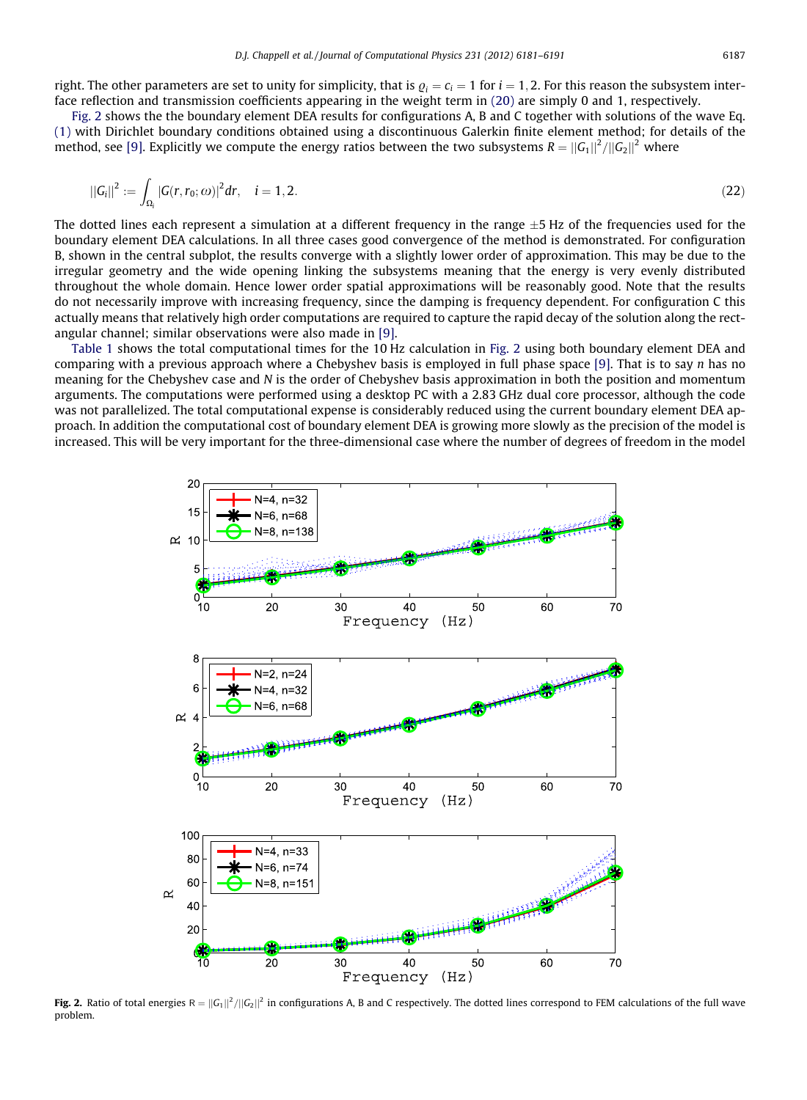right. The other parameters are set to unity for simplicity, that is  $\rho_i = c_i = 1$  for  $i = 1, 2$ . For this reason the subsystem interface reflection and transmission coefficients appearing in the weight term in [\(20\)](#page-6-0) are simply 0 and 1, respectively.

Fig. 2 shows the the boundary element DEA results for configurations A, B and C together with solutions of the wave Eq. [\(1\)](#page-2-0) with Dirichlet boundary conditions obtained using a discontinuous Galerkin finite element method; for details of the method, see [\[9\]](#page-11-0). Explicitly we compute the energy ratios between the two subsystems  $R = ||G_1||^2/||G_2||^2$  where

$$
||G_i||^2 := \int_{\Omega_i} |G(r, r_0; \omega)|^2 dr, \quad i = 1, 2. \tag{22}
$$

The dotted lines each represent a simulation at a different frequency in the range  $\pm$ 5 Hz of the frequencies used for the boundary element DEA calculations. In all three cases good convergence of the method is demonstrated. For configuration B, shown in the central subplot, the results converge with a slightly lower order of approximation. This may be due to the irregular geometry and the wide opening linking the subsystems meaning that the energy is very evenly distributed throughout the whole domain. Hence lower order spatial approximations will be reasonably good. Note that the results do not necessarily improve with increasing frequency, since the damping is frequency dependent. For configuration C this actually means that relatively high order computations are required to capture the rapid decay of the solution along the rectangular channel; similar observations were also made in [\[9\]](#page-11-0).

[Table 1](#page-8-0) shows the total computational times for the 10 Hz calculation in Fig. 2 using both boundary element DEA and comparing with a previous approach where a Chebyshev basis is employed in full phase space [\[9\].](#page-11-0) That is to say n has no meaning for the Chebyshev case and N is the order of Chebyshev basis approximation in both the position and momentum arguments. The computations were performed using a desktop PC with a 2.83 GHz dual core processor, although the code was not parallelized. The total computational expense is considerably reduced using the current boundary element DEA approach. In addition the computational cost of boundary element DEA is growing more slowly as the precision of the model is increased. This will be very important for the three-dimensional case where the number of degrees of freedom in the model



**Fig. 2.** Ratio of total energies R =  $||G_1||^2/||G_2||^2$  in configurations A, B and C respectively. The dotted lines correspond to FEM calculations of the full wave problem.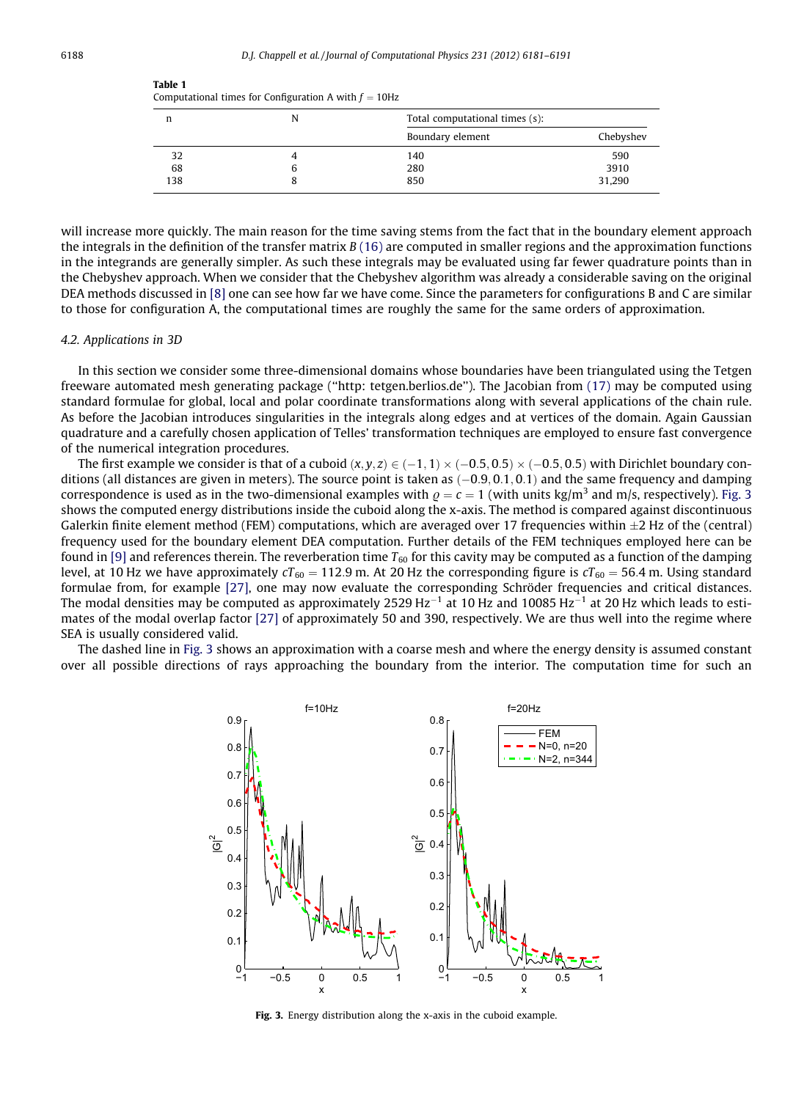<span id="page-8-0"></span>

| Table 1                                                |  |
|--------------------------------------------------------|--|
| Computational times for Configuration A with $f = 10H$ |  |

|     | Total computational times (s): |           |
|-----|--------------------------------|-----------|
|     | Boundary element               | Chebyshev |
| 32  | 140                            | 590       |
| 68  | 280                            | 3910      |
| 138 | 850                            | 31,290    |

will increase more quickly. The main reason for the time saving stems from the fact that in the boundary element approach the integrals in the definition of the transfer matrix  $B(16)$  $B(16)$  are computed in smaller regions and the approximation functions in the integrands are generally simpler. As such these integrals may be evaluated using far fewer quadrature points than in the Chebyshev approach. When we consider that the Chebyshev algorithm was already a considerable saving on the original DEA methods discussed in [\[8\]](#page-11-0) one can see how far we have come. Since the parameters for configurations B and C are similar to those for configuration A, the computational times are roughly the same for the same orders of approximation.

### 4.2. Applications in 3D

In this section we consider some three-dimensional domains whose boundaries have been triangulated using the Tetgen freeware automated mesh generating package (''http: tetgen.berlios.de''). The Jacobian from [\(17\)](#page-5-0) may be computed using standard formulae for global, local and polar coordinate transformations along with several applications of the chain rule. As before the Jacobian introduces singularities in the integrals along edges and at vertices of the domain. Again Gaussian quadrature and a carefully chosen application of Telles' transformation techniques are employed to ensure fast convergence of the numerical integration procedures.

The first example we consider is that of a cuboid  $(x, y, z) \in (-1, 1) \times (-0.5, 0.5) \times (-0.5, 0.5)$  with Dirichlet boundary conditions (all distances are given in meters). The source point is taken as  $(-0.9, 0.1, 0.1)$  and the same frequency and damping correspondence is used as in the two-dimensional examples with  $\rho = c = 1$  (with units kg/m<sup>3</sup> and m/s, respectively). Fig. 3 shows the computed energy distributions inside the cuboid along the x-axis. The method is compared against discontinuous Galerkin finite element method (FEM) computations, which are averaged over 17 frequencies within  $\pm 2$  Hz of the (central) frequency used for the boundary element DEA computation. Further details of the FEM techniques employed here can be found in [\[9\]](#page-11-0) and references therein. The reverberation time  $T_{60}$  for this cavity may be computed as a function of the damping level, at 10 Hz we have approximately  $cT_{60} = 112.9$  m. At 20 Hz the corresponding figure is  $cT_{60} = 56.4$  m. Using standard formulae from, for example [\[27\],](#page-11-0) one may now evaluate the corresponding Schröder frequencies and critical distances. The modal densities may be computed as approximately 2529 Hz<sup>-1</sup> at 10 Hz and 10085 Hz<sup>-1</sup> at 20 Hz which leads to estimates of the modal overlap factor [\[27\]](#page-11-0) of approximately 50 and 390, respectively. We are thus well into the regime where SEA is usually considered valid.

The dashed line in Fig. 3 shows an approximation with a coarse mesh and where the energy density is assumed constant over all possible directions of rays approaching the boundary from the interior. The computation time for such an



Fig. 3. Energy distribution along the x-axis in the cuboid example.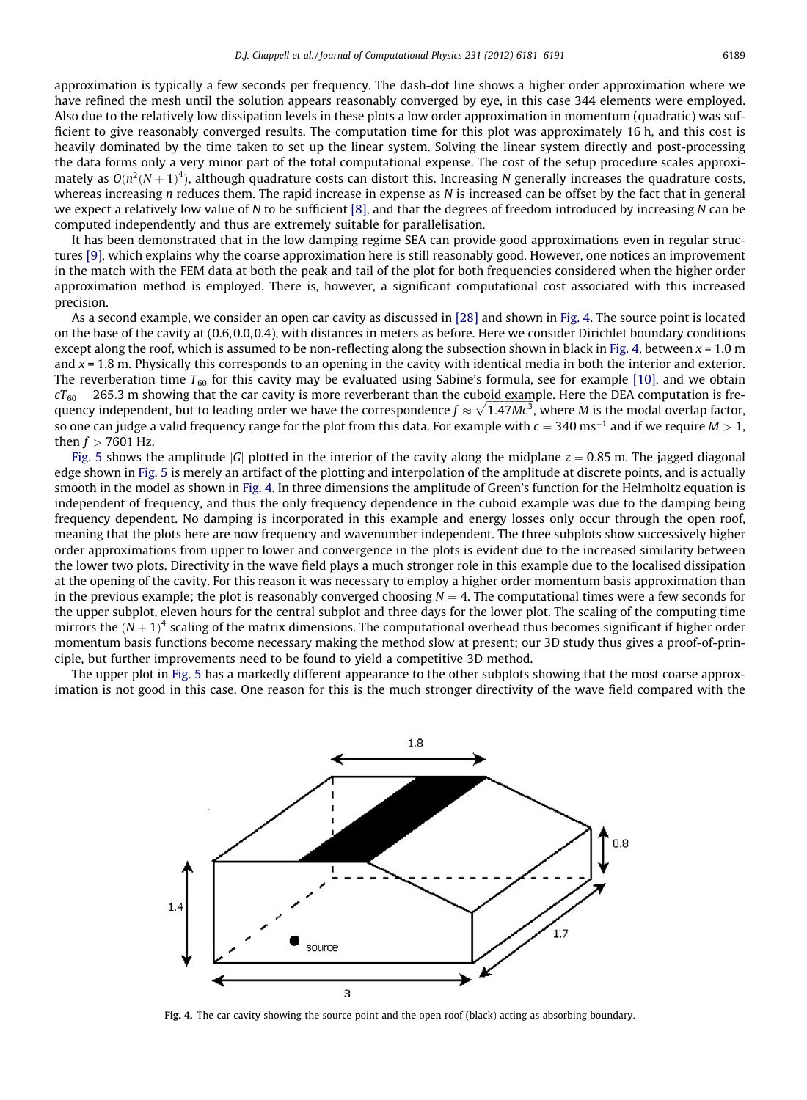approximation is typically a few seconds per frequency. The dash-dot line shows a higher order approximation where we have refined the mesh until the solution appears reasonably converged by eye, in this case 344 elements were employed. Also due to the relatively low dissipation levels in these plots a low order approximation in momentum (quadratic) was sufficient to give reasonably converged results. The computation time for this plot was approximately 16 h, and this cost is heavily dominated by the time taken to set up the linear system. Solving the linear system directly and post-processing the data forms only a very minor part of the total computational expense. The cost of the setup procedure scales approximately as  $O(n^2(N+1)^4)$ , although quadrature costs can distort this. Increasing N generally increases the quadrature costs, whereas increasing n reduces them. The rapid increase in expense as  $N$  is increased can be offset by the fact that in general we expect a relatively low value of N to be sufficient [\[8\],](#page-11-0) and that the degrees of freedom introduced by increasing N can be computed independently and thus are extremely suitable for parallelisation.

It has been demonstrated that in the low damping regime SEA can provide good approximations even in regular structures [\[9\],](#page-11-0) which explains why the coarse approximation here is still reasonably good. However, one notices an improvement in the match with the FEM data at both the peak and tail of the plot for both frequencies considered when the higher order approximation method is employed. There is, however, a significant computational cost associated with this increased precision.

As a second example, we consider an open car cavity as discussed in [\[28\]](#page-11-0) and shown in Fig. 4. The source point is located on the base of the cavity at (0.6, 0.0,0.4), with distances in meters as before. Here we consider Dirichlet boundary conditions except along the roof, which is assumed to be non-reflecting along the subsection shown in black in Fig. 4, between  $x = 1.0$  m and  $x = 1.8$  m. Physically this corresponds to an opening in the cavity with identical media in both the interior and exterior. The reverberation time  $T_{60}$  for this cavity may be evaluated using Sabine's formula, see for example [\[10\],](#page-11-0) and we obtain  $cT_{60} = 265.3$  m showing that the car cavity is more reverberant than the cuboid example. Here the DEA computation is fre $c_1$ <sub>60</sub> = 200.5 In showing that the car cavity is more reverberant than the cubold example. Here the DEA computation is ne-<br>quency independent, but to leading order we have the correspondence  $f \approx \sqrt{1.47 M c^3}$ , where M so one can judge a valid frequency range for the plot from this data. For example with  $c = 340$  ms<sup>-1</sup> and if we require  $M > 1$ , then  $f > 7601$  Hz.

[Fig. 5](#page-10-0) shows the amplitude |G| plotted in the interior of the cavity along the midplane  $z = 0.85$  m. The jagged diagonal edge shown in [Fig. 5](#page-10-0) is merely an artifact of the plotting and interpolation of the amplitude at discrete points, and is actually smooth in the model as shown in Fig. 4. In three dimensions the amplitude of Green's function for the Helmholtz equation is independent of frequency, and thus the only frequency dependence in the cuboid example was due to the damping being frequency dependent. No damping is incorporated in this example and energy losses only occur through the open roof, meaning that the plots here are now frequency and wavenumber independent. The three subplots show successively higher order approximations from upper to lower and convergence in the plots is evident due to the increased similarity between the lower two plots. Directivity in the wave field plays a much stronger role in this example due to the localised dissipation at the opening of the cavity. For this reason it was necessary to employ a higher order momentum basis approximation than in the previous example; the plot is reasonably converged choosing  $N = 4$ . The computational times were a few seconds for the upper subplot, eleven hours for the central subplot and three days for the lower plot. The scaling of the computing time mirrors the  $(N + 1)^4$  scaling of the matrix dimensions. The computational overhead thus becomes significant if higher order momentum basis functions become necessary making the method slow at present; our 3D study thus gives a proof-of-principle, but further improvements need to be found to yield a competitive 3D method.

The upper plot in [Fig. 5](#page-10-0) has a markedly different appearance to the other subplots showing that the most coarse approximation is not good in this case. One reason for this is the much stronger directivity of the wave field compared with the



Fig. 4. The car cavity showing the source point and the open roof (black) acting as absorbing boundary.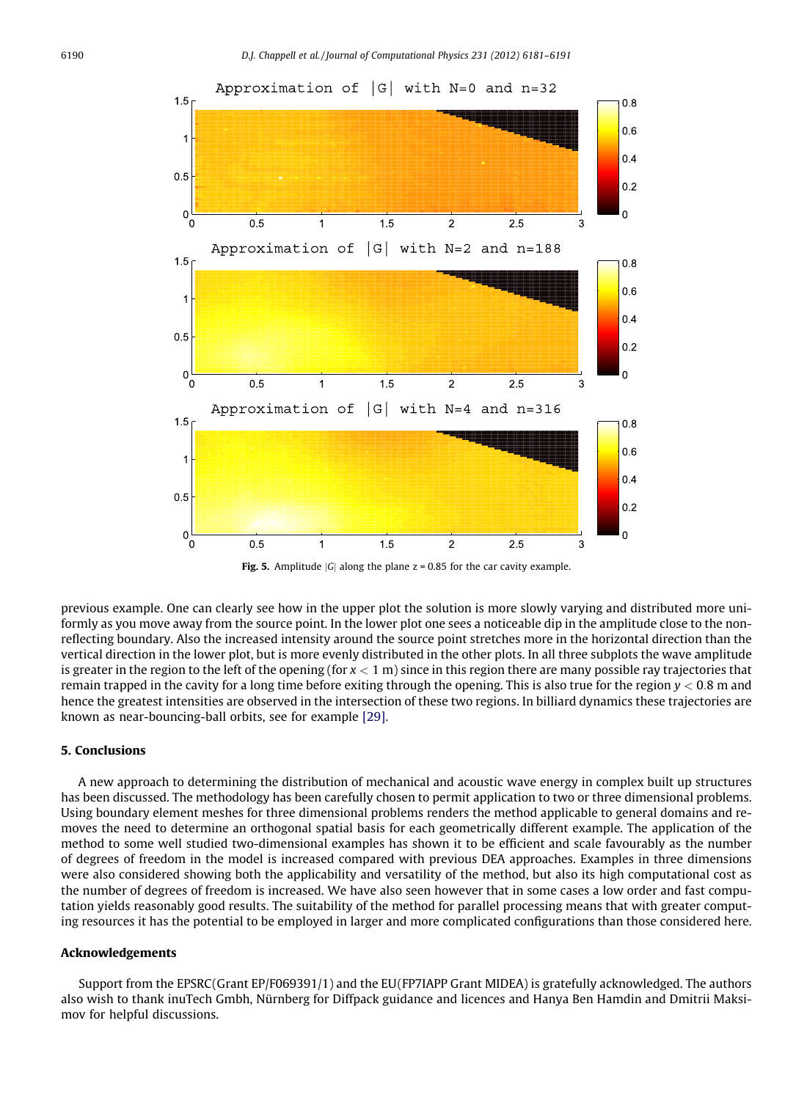<span id="page-10-0"></span>

Fig. 5. Amplitude  $|G|$  along the plane  $z = 0.85$  for the car cavity example.

previous example. One can clearly see how in the upper plot the solution is more slowly varying and distributed more uniformly as you move away from the source point. In the lower plot one sees a noticeable dip in the amplitude close to the nonreflecting boundary. Also the increased intensity around the source point stretches more in the horizontal direction than the vertical direction in the lower plot, but is more evenly distributed in the other plots. In all three subplots the wave amplitude is greater in the region to the left of the opening (for  $x < 1$  m) since in this region there are many possible ray trajectories that remain trapped in the cavity for a long time before exiting through the opening. This is also true for the region  $y < 0.8$  m and hence the greatest intensities are observed in the intersection of these two regions. In billiard dynamics these trajectories are known as near-bouncing-ball orbits, see for example [\[29\]](#page-11-0).

## 5. Conclusions

A new approach to determining the distribution of mechanical and acoustic wave energy in complex built up structures has been discussed. The methodology has been carefully chosen to permit application to two or three dimensional problems. Using boundary element meshes for three dimensional problems renders the method applicable to general domains and removes the need to determine an orthogonal spatial basis for each geometrically different example. The application of the method to some well studied two-dimensional examples has shown it to be efficient and scale favourably as the number of degrees of freedom in the model is increased compared with previous DEA approaches. Examples in three dimensions were also considered showing both the applicability and versatility of the method, but also its high computational cost as the number of degrees of freedom is increased. We have also seen however that in some cases a low order and fast computation yields reasonably good results. The suitability of the method for parallel processing means that with greater computing resources it has the potential to be employed in larger and more complicated configurations than those considered here.

## Acknowledgements

Support from the EPSRC(Grant EP/F069391/1) and the EU(FP7IAPP Grant MIDEA) is gratefully acknowledged. The authors also wish to thank inuTech Gmbh, Nürnberg for Diffpack guidance and licences and Hanya Ben Hamdin and Dmitrii Maksimov for helpful discussions.